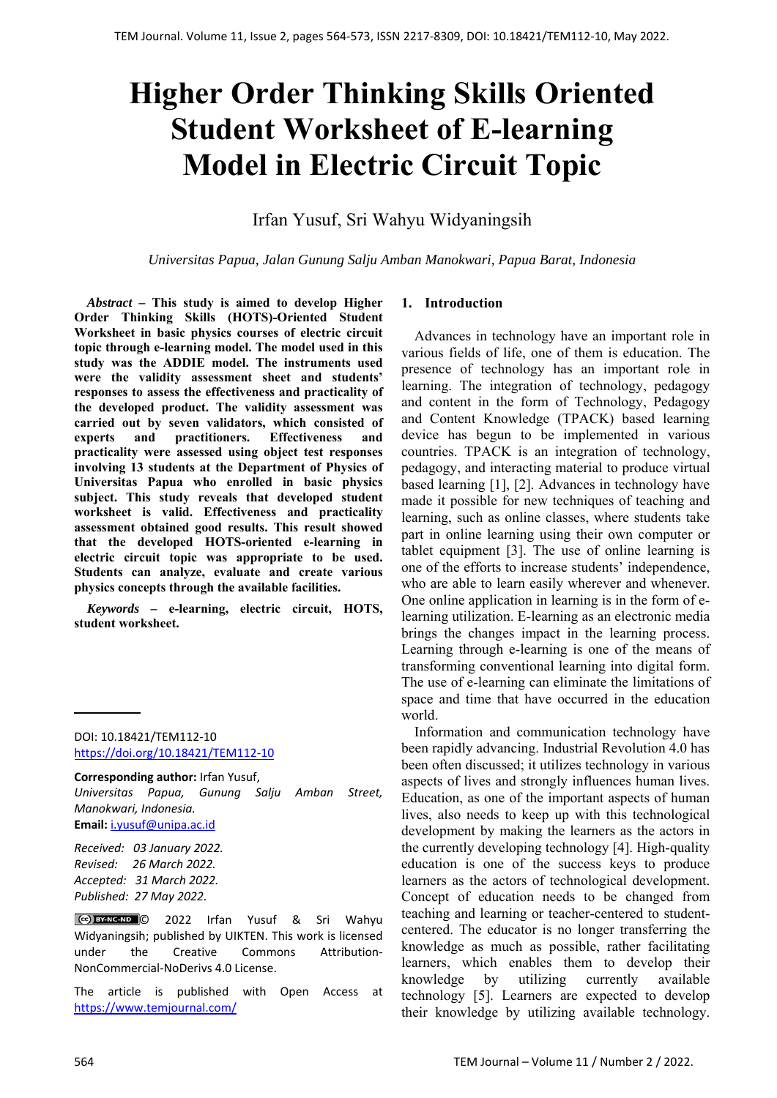# **Higher Order Thinking Skills Oriented Student Worksheet of E-learning Model in Electric Circuit Topic**

Irfan Yusuf, Sri Wahyu Widyaningsih

*Universitas Papua, Jalan Gunung Salju Amban Manokwari, Papua Barat, Indonesia*

*Abstract –* **This study is aimed to develop Higher Order Thinking Skills (HOTS)-Oriented Student Worksheet in basic physics courses of electric circuit topic through e-learning model. The model used in this study was the ADDIE model. The instruments used were the validity assessment sheet and students' responses to assess the effectiveness and practicality of the developed product. The validity assessment was carried out by seven validators, which consisted of experts and practitioners. Effectiveness and practicality were assessed using object test responses involving 13 students at the Department of Physics of Universitas Papua who enrolled in basic physics subject. This study reveals that developed student worksheet is valid. Effectiveness and practicality assessment obtained good results. This result showed that the developed HOTS-oriented e-learning in electric circuit topic was appropriate to be used. Students can analyze, evaluate and create various physics concepts through the available facilities.** 

*Keywords –* **e-learning, electric circuit, HOTS, student worksheet.** 

DOI: 10.18421/TEM112-10 [https://doi.org/10.18421/TEM112](https://doi.org/10.18421/TEM112-10)-10

**Corresponding author:** Irfan Yusuf, *Universitas Papua, Gunung Salju Amban Street, Manokwari, Indonesia.*  **Email:** i.yusuf@unipa.ac.id

*Received: 03 January 2022. Revised: 26 March 2022. Accepted: 31 March 2022. Published: 27 May 2022.* 

© 2022 Irfan Yusuf & Sri Wahyu Widyaningsih; published by UIKTEN. This work is licensed under the Creative Commons Attribution-NonCommercial‐NoDerivs 4.0 License.

The article is published with Open Access at https://www.temjournal.com/

# **1. Introduction**

Advances in technology have an important role in various fields of life, one of them is education. The presence of technology has an important role in learning. The integration of technology, pedagogy and content in the form of Technology, Pedagogy and Content Knowledge (TPACK) based learning device has begun to be implemented in various countries. TPACK is an integration of technology, pedagogy, and interacting material to produce virtual based learning [1], [2]. Advances in technology have made it possible for new techniques of teaching and learning, such as online classes, where students take part in online learning using their own computer or tablet equipment [3]. The use of online learning is one of the efforts to increase students' independence, who are able to learn easily wherever and whenever. One online application in learning is in the form of elearning utilization. E-learning as an electronic media brings the changes impact in the learning process. Learning through e-learning is one of the means of transforming conventional learning into digital form. The use of e-learning can eliminate the limitations of space and time that have occurred in the education world.

Information and communication technology have been rapidly advancing. Industrial Revolution 4.0 has been often discussed; it utilizes technology in various aspects of lives and strongly influences human lives. Education, as one of the important aspects of human lives, also needs to keep up with this technological development by making the learners as the actors in the currently developing technology [4]. High-quality education is one of the success keys to produce learners as the actors of technological development. Concept of education needs to be changed from teaching and learning or teacher-centered to studentcentered. The educator is no longer transferring the knowledge as much as possible, rather facilitating learners, which enables them to develop their knowledge by utilizing currently available technology [5]. Learners are expected to develop their knowledge by utilizing available technology.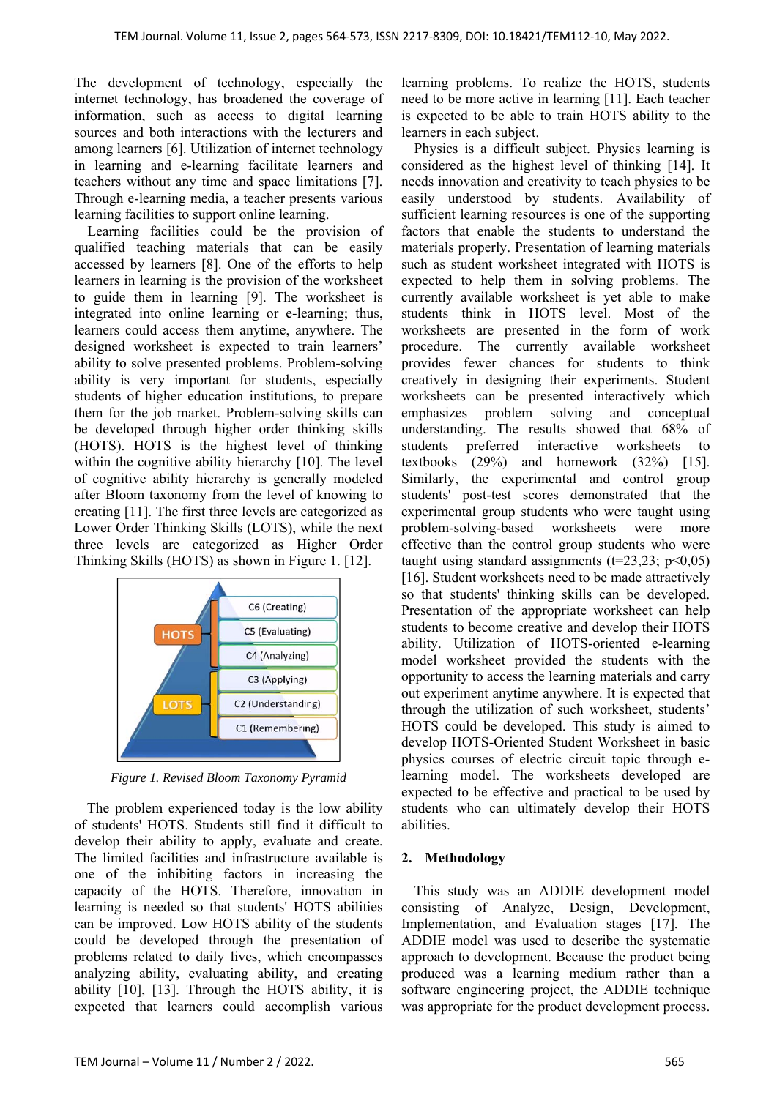The development of technology, especially the internet technology, has broadened the coverage of information, such as access to digital learning sources and both interactions with the lecturers and among learners [6]. Utilization of internet technology in learning and e-learning facilitate learners and teachers without any time and space limitations [7]. Through e-learning media, a teacher presents various learning facilities to support online learning.

Learning facilities could be the provision of qualified teaching materials that can be easily accessed by learners [8]. One of the efforts to help learners in learning is the provision of the worksheet to guide them in learning [9]. The worksheet is integrated into online learning or e-learning; thus, learners could access them anytime, anywhere. The designed worksheet is expected to train learners' ability to solve presented problems. Problem-solving ability is very important for students, especially students of higher education institutions, to prepare them for the job market. Problem-solving skills can be developed through higher order thinking skills (HOTS). HOTS is the highest level of thinking within the cognitive ability hierarchy [10]. The level of cognitive ability hierarchy is generally modeled after Bloom taxonomy from the level of knowing to creating [11]. The first three levels are categorized as Lower Order Thinking Skills (LOTS), while the next three levels are categorized as Higher Order Thinking Skills (HOTS) as shown in Figure 1. [12].



*Figure 1. Revised Bloom Taxonomy Pyramid* 

The problem experienced today is the low ability of students' HOTS. Students still find it difficult to develop their ability to apply, evaluate and create. The limited facilities and infrastructure available is one of the inhibiting factors in increasing the capacity of the HOTS. Therefore, innovation in learning is needed so that students' HOTS abilities can be improved. Low HOTS ability of the students could be developed through the presentation of problems related to daily lives, which encompasses analyzing ability, evaluating ability, and creating ability [10], [13]. Through the HOTS ability, it is expected that learners could accomplish various learning problems. To realize the HOTS, students need to be more active in learning [11]. Each teacher is expected to be able to train HOTS ability to the learners in each subject.

Physics is a difficult subject. Physics learning is considered as the highest level of thinking [14]. It needs innovation and creativity to teach physics to be easily understood by students. Availability of sufficient learning resources is one of the supporting factors that enable the students to understand the materials properly. Presentation of learning materials such as student worksheet integrated with HOTS is expected to help them in solving problems. The currently available worksheet is yet able to make students think in HOTS level. Most of the worksheets are presented in the form of work procedure. The currently available worksheet provides fewer chances for students to think creatively in designing their experiments. Student worksheets can be presented interactively which emphasizes problem solving and conceptual understanding. The results showed that 68% of students preferred interactive worksheets to textbooks (29%) and homework (32%) [15]. Similarly, the experimental and control group students' post-test scores demonstrated that the experimental group students who were taught using problem-solving-based worksheets were more effective than the control group students who were taught using standard assignments ( $t=23,23$ ;  $p<0,05$ ) [16]. Student worksheets need to be made attractively so that students' thinking skills can be developed. Presentation of the appropriate worksheet can help students to become creative and develop their HOTS ability. Utilization of HOTS-oriented e-learning model worksheet provided the students with the opportunity to access the learning materials and carry out experiment anytime anywhere. It is expected that through the utilization of such worksheet, students' HOTS could be developed. This study is aimed to develop HOTS-Oriented Student Worksheet in basic physics courses of electric circuit topic through elearning model. The worksheets developed are expected to be effective and practical to be used by students who can ultimately develop their HOTS abilities.

# **2. Methodology**

This study was an ADDIE development model consisting of Analyze, Design, Development, Implementation, and Evaluation stages [17]*.* The ADDIE model was used to describe the systematic approach to development. Because the product being produced was a learning medium rather than a software engineering project, the ADDIE technique was appropriate for the product development process.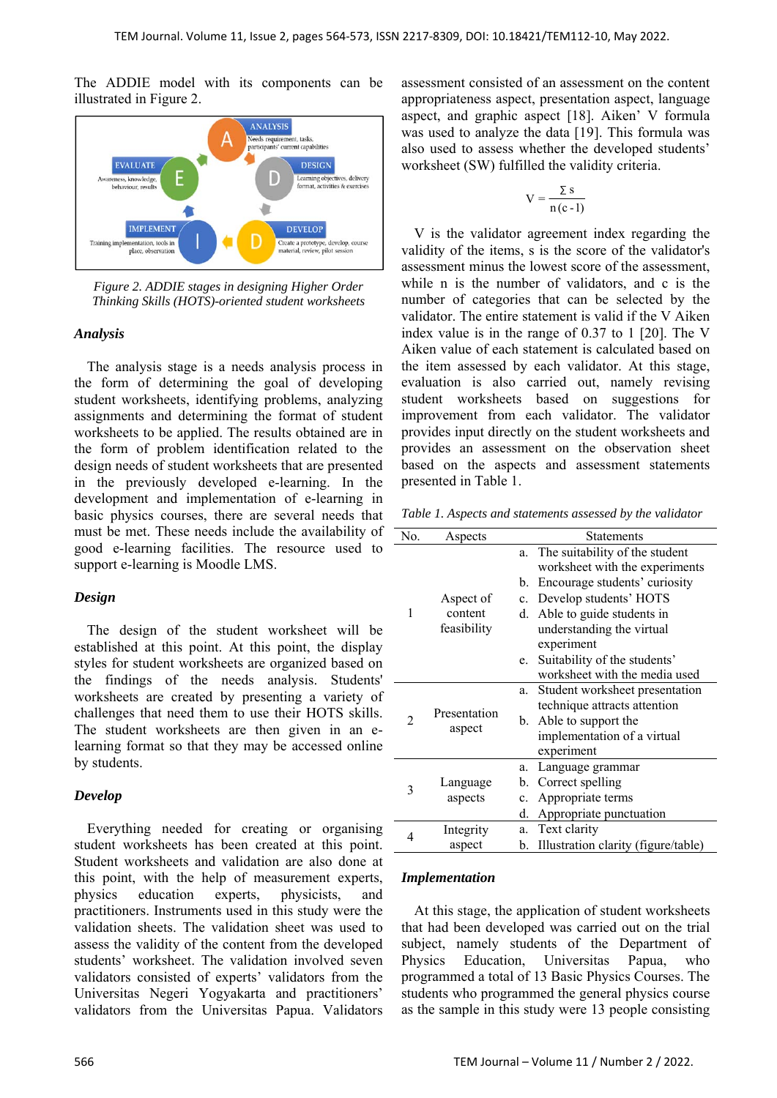The ADDIE model with its components can be illustrated in Figure 2.



*Figure 2. ADDIE stages in designing Higher Order Thinking Skills (HOTS)-oriented student worksheets* 

# *Analysis*

The analysis stage is a needs analysis process in the form of determining the goal of developing student worksheets, identifying problems, analyzing assignments and determining the format of student worksheets to be applied. The results obtained are in the form of problem identification related to the design needs of student worksheets that are presented in the previously developed e-learning. In the development and implementation of e-learning in basic physics courses, there are several needs that must be met. These needs include the availability of good e-learning facilities. The resource used to support e-learning is Moodle LMS.

## *Design*

The design of the student worksheet will be established at this point. At this point, the display styles for student worksheets are organized based on the findings of the needs analysis. Students' worksheets are created by presenting a variety of challenges that need them to use their HOTS skills. The student worksheets are then given in an elearning format so that they may be accessed online by students.

# *Develop*

Everything needed for creating or organising student worksheets has been created at this point. Student worksheets and validation are also done at this point, with the help of measurement experts, physics education experts, physicists, and practitioners. Instruments used in this study were the validation sheets. The validation sheet was used to assess the validity of the content from the developed students' worksheet. The validation involved seven validators consisted of experts' validators from the Universitas Negeri Yogyakarta and practitioners' validators from the Universitas Papua. Validators

assessment consisted of an assessment on the content appropriateness aspect, presentation aspect, language aspect, and graphic aspect [18]. Aiken' V formula was used to analyze the data [19]. This formula was also used to assess whether the developed students' worksheet (SW) fulfilled the validity criteria.

$$
V = \frac{\sum s}{n(c-1)}
$$

V is the validator agreement index regarding the validity of the items, s is the score of the validator's assessment minus the lowest score of the assessment, while n is the number of validators, and c is the number of categories that can be selected by the validator. The entire statement is valid if the V Aiken index value is in the range of 0.37 to 1 [20]. The V Aiken value of each statement is calculated based on the item assessed by each validator. At this stage, evaluation is also carried out, namely revising student worksheets based on suggestions for improvement from each validator. The validator provides input directly on the student worksheets and provides an assessment on the observation sheet based on the aspects and assessment statements presented in Table 1.

*Table 1. Aspects and statements assessed by the validator* 

| No. | Aspects                | <b>Statements</b> |                                     |  |  |
|-----|------------------------|-------------------|-------------------------------------|--|--|
|     |                        | a.                | The suitability of the student      |  |  |
|     |                        |                   | worksheet with the experiments      |  |  |
|     | Aspect of              | b.                | Encourage students' curiosity       |  |  |
|     |                        | $c_{\cdot}$       | Develop students' HOTS              |  |  |
| 1   | content                | d.                | Able to guide students in           |  |  |
|     | feasibility            |                   | understanding the virtual           |  |  |
|     |                        |                   | experiment                          |  |  |
|     |                        | e.                | Suitability of the students'        |  |  |
|     |                        |                   | worksheet with the media used       |  |  |
|     | Presentation<br>aspect | a.                | Student worksheet presentation      |  |  |
|     |                        |                   | technique attracts attention        |  |  |
| 2   |                        |                   | b. Able to support the              |  |  |
|     |                        |                   | implementation of a virtual         |  |  |
|     |                        |                   | experiment                          |  |  |
|     | Language<br>aspects    | a.                | Language grammar                    |  |  |
| 3   |                        | b.                | Correct spelling                    |  |  |
|     |                        | c.                | Appropriate terms                   |  |  |
|     |                        | d.                | Appropriate punctuation             |  |  |
| 4   | Integrity<br>a.        |                   | Text clarity                        |  |  |
|     | aspect                 | b.                | Illustration clarity (figure/table) |  |  |

## *Implementation*

At this stage, the application of student worksheets that had been developed was carried out on the trial subject, namely students of the Department of Physics Education, Universitas Papua, who programmed a total of 13 Basic Physics Courses. The students who programmed the general physics course as the sample in this study were 13 people consisting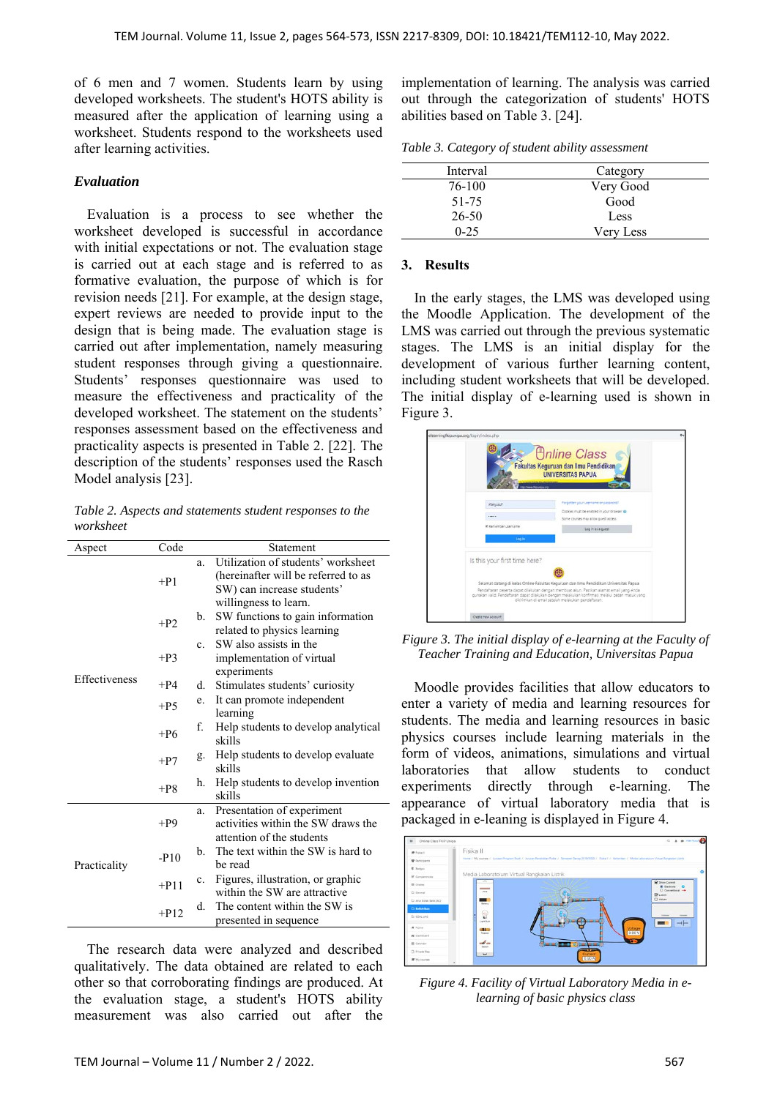of 6 men and 7 women. Students learn by using developed worksheets. The student's HOTS ability is measured after the application of learning using a worksheet. Students respond to the worksheets used after learning activities.

#### *Evaluation*

Evaluation is a process to see whether the worksheet developed is successful in accordance with initial expectations or not. The evaluation stage is carried out at each stage and is referred to as formative evaluation, the purpose of which is for revision needs [21]. For example, at the design stage, expert reviews are needed to provide input to the design that is being made. The evaluation stage is carried out after implementation, namely measuring student responses through giving a questionnaire. Students' responses questionnaire was used to measure the effectiveness and practicality of the developed worksheet. The statement on the students' responses assessment based on the effectiveness and practicality aspects is presented in Table 2. [22]. The description of the students' responses used the Rasch Model analysis [23].

*Table 2. Aspects and statements student responses to the worksheet* 

| Code<br>Statement<br>Aspect |                     |                |                                     |
|-----------------------------|---------------------|----------------|-------------------------------------|
|                             |                     |                | Utilization of students' worksheet  |
|                             | $+P1$               |                | (hereinafter will be referred to as |
|                             |                     |                | SW) can increase students'          |
|                             |                     |                | willingness to learn.               |
|                             | $+P2$               | b.             | SW functions to gain information    |
|                             |                     |                | related to physics learning         |
|                             |                     | $\mathbf{c}$ . | SW also assists in the              |
|                             | $+P3$               |                | implementation of virtual           |
| <b>Effectiveness</b>        |                     |                | experiments                         |
|                             | $+P4$               | d.             | Stimulates students' curiosity      |
|                             | $+P5$               | e.             | It can promote independent          |
|                             |                     |                | learning                            |
|                             | $+P6$               | f.             | Help students to develop analytical |
|                             |                     |                | skills                              |
|                             | $+P7$               | g.             | Help students to develop evaluate   |
|                             |                     |                | skills                              |
|                             | $+P8$               | h.             | Help students to develop invention  |
|                             |                     |                | skills                              |
|                             |                     | a.             | Presentation of experiment          |
|                             | $+P9$               |                | activities within the SW draws the  |
|                             |                     |                | attention of the students           |
|                             | $-$ P <sub>10</sub> | b.             | The text within the SW is hard to   |
| Practicality                |                     |                | be read                             |
|                             | $+P11$              | c.             | Figures, illustration, or graphic   |
|                             |                     |                | within the SW are attractive        |
|                             | $+P12$              | d.             | The content within the SW is        |
|                             |                     |                | presented in sequence               |

The research data were analyzed and described qualitatively. The data obtained are related to each other so that corroborating findings are produced. At the evaluation stage, a student's HOTS ability measurement was also carried out after the

implementation of learning. The analysis was carried out through the categorization of students' HOTS abilities based on Table 3. [24].

*Table 3. Category of student ability assessment* 

| Interval  | Category  |
|-----------|-----------|
| 76-100    | Very Good |
| 51-75     | Good      |
| $26 - 50$ | Less      |
| $0 - 25$  | Very Less |

#### **3. Results**

In the early stages, the LMS was developed using the Moodle Application. The development of the LMS was carried out through the previous systematic stages. The LMS is an initial display for the development of various further learning content, including student worksheets that will be developed. The initial display of e-learning used is shown in Figure 3.



*Figure 3. The initial display of e-learning at the Faculty of Teacher Training and Education, Universitas Papua* 

Moodle provides facilities that allow educators to enter a variety of media and learning resources for students. The media and learning resources in basic physics courses include learning materials in the form of videos, animations, simulations and virtual laboratories that allow students to conduct experiments directly through e-learning. The appearance of virtual laboratory media that is packaged in e-leaning is displayed in Figure 4.



*Figure 4. Facility of Virtual Laboratory Media in elearning of basic physics class*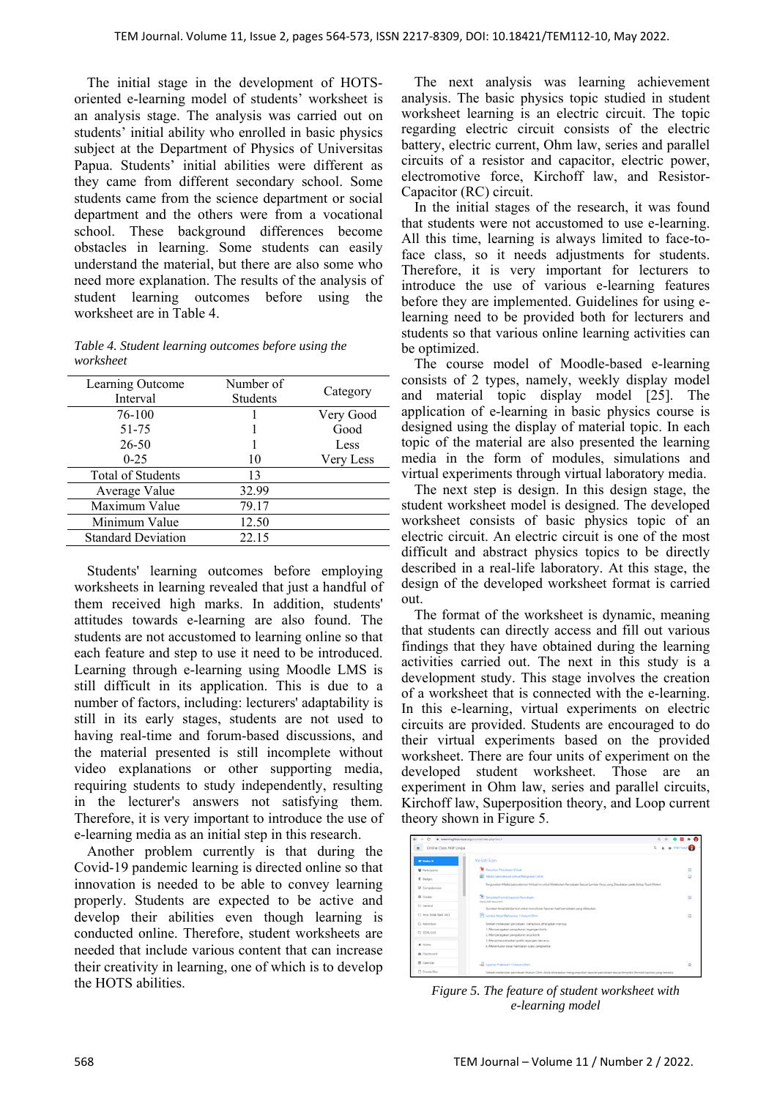The initial stage in the development of HOTSoriented e-learning model of students' worksheet is an analysis stage. The analysis was carried out on students' initial ability who enrolled in basic physics subject at the Department of Physics of Universitas Papua. Students' initial abilities were different as they came from different secondary school. Some students came from the science department or social department and the others were from a vocational school. These background differences become obstacles in learning. Some students can easily understand the material, but there are also some who need more explanation. The results of the analysis of student learning outcomes before using the worksheet are in Table 4.

*Table 4. Student learning outcomes before using the worksheet* 

| Learning Outcome<br>Interval | Number of<br><b>Students</b> | Category  |
|------------------------------|------------------------------|-----------|
| 76-100                       |                              | Very Good |
| 51-75                        |                              | Good      |
| $26 - 50$                    |                              | Less      |
| $0 - 25$                     | 10                           | Very Less |
| <b>Total of Students</b>     | 13                           |           |
| Average Value                | 32.99                        |           |
| Maximum Value                | 79.17                        |           |
| Minimum Value                | 12.50                        |           |
| <b>Standard Deviation</b>    | 22.15                        |           |
|                              |                              |           |

Students' learning outcomes before employing worksheets in learning revealed that just a handful of them received high marks. In addition, students' attitudes towards e-learning are also found. The students are not accustomed to learning online so that each feature and step to use it need to be introduced. Learning through e-learning using Moodle LMS is still difficult in its application. This is due to a number of factors, including: lecturers' adaptability is still in its early stages, students are not used to having real-time and forum-based discussions, and the material presented is still incomplete without video explanations or other supporting media, requiring students to study independently, resulting in the lecturer's answers not satisfying them. Therefore, it is very important to introduce the use of e-learning media as an initial step in this research.

Another problem currently is that during the Covid-19 pandemic learning is directed online so that innovation is needed to be able to convey learning properly. Students are expected to be active and develop their abilities even though learning is conducted online. Therefore, student worksheets are needed that include various content that can increase their creativity in learning, one of which is to develop the HOTS abilities.

The next analysis was learning achievement analysis. The basic physics topic studied in student worksheet learning is an electric circuit. The topic regarding electric circuit consists of the electric battery, electric current, Ohm law, series and parallel circuits of a resistor and capacitor, electric power, electromotive force, Kirchoff law, and Resistor-Capacitor (RC) circuit.

In the initial stages of the research, it was found that students were not accustomed to use e-learning. All this time, learning is always limited to face-toface class, so it needs adjustments for students. Therefore, it is very important for lecturers to introduce the use of various e-learning features before they are implemented. Guidelines for using elearning need to be provided both for lecturers and students so that various online learning activities can be optimized.

The course model of Moodle-based e-learning consists of 2 types, namely, weekly display model and material topic display model [25]. The application of e-learning in basic physics course is designed using the display of material topic. In each topic of the material are also presented the learning media in the form of modules, simulations and virtual experiments through virtual laboratory media.

The next step is design. In this design stage, the student worksheet model is designed. The developed worksheet consists of basic physics topic of an electric circuit. An electric circuit is one of the most difficult and abstract physics topics to be directly described in a real-life laboratory. At this stage, the design of the developed worksheet format is carried out.

The format of the worksheet is dynamic, meaning that students can directly access and fill out various findings that they have obtained during the learning activities carried out. The next in this study is a development study. This stage involves the creation of a worksheet that is connected with the e-learning. In this e-learning, virtual experiments on electric circuits are provided. Students are encouraged to do their virtual experiments based on the provided worksheet. There are four units of experiment on the developed student worksheet. Those are an experiment in Ohm law, series and parallel circuits, Kirchoff law, Superposition theory, and Loop current theory shown in Figure 5.

|                                         | $\alpha$ $\alpha$<br># eleaningflipunipa.org/course/view.php?id+5                                                                   |   |
|-----------------------------------------|-------------------------------------------------------------------------------------------------------------------------------------|---|
| Online Class FKIP Unipa<br>$\mathbf{H}$ |                                                                                                                                     |   |
| <b>W Folks N</b>                        | Kelistnican                                                                                                                         |   |
| <b>W</b> Participants.                  | <b>Campaign Perceivers Virtual</b>                                                                                                  | ø |
| <b>C</b> Eatles                         | <b>Ch.</b> Meda Laboratosum Vetual Kangsasan Listrik                                                                                | B |
| R Competendes                           | Fergunakan Media Laboratorium Virtual ini untuk Melakukan Percobaan Sesuai Lembar Kecia yang Disediakan pada Setiap Topik Materi    |   |
| <b>III</b> Grades                       | <b>The Template/Format Laurulan Percebaan</b>                                                                                       | R |
| C: General                              | though \$200° document.<br>Gunakan terriplate berikut untuk menuliskan laporan hasil percobian yang dilakukan.                      |   |
| C Arus Botak Balik (AC)                 | The Lembar Keija' Mahasiasa 1 Huturs Ohio                                                                                           | a |
| <b>Ct Kellmikan</b>                     | Setelah melakukan percobaan, mahasilwa diharapkan mampuz                                                                            |   |
| I'M SOME UAS                            | 1. Marnoeragakan pengukuran tegangan listrik.<br>2. Memperagakan pengukuran arus listrik.                                           |   |
|                                         | 3. Menginterpretasikan grafik tegangan dan anus.                                                                                    |   |
| <b>W</b> Florida                        | 4. Menentukan besar hambatan suatu penghantan.                                                                                      |   |
| @ Dishboard                             |                                                                                                                                     |   |
| 筒 Calendar                              | Leonar Praktisum 1 Huisan Olan                                                                                                      | 図 |
| <sup>7</sup> Private New                | Setelah melakukan percobaan Hukum Ohm, Anda diharapkan mengumpukan laporan percobaan sesuai template Bornatt laporan yang tersedia. |   |

*Figure 5. The feature of student worksheet with e-learning model*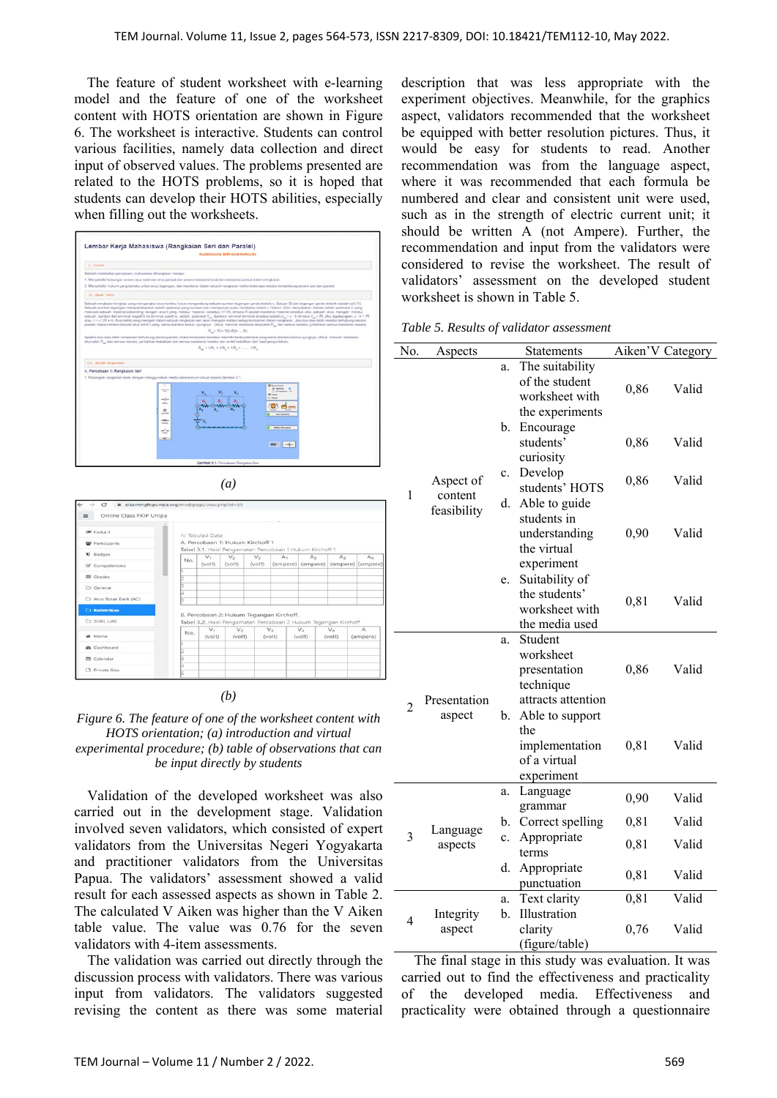The feature of student worksheet with e-learning model and the feature of one of the worksheet content with HOTS orientation are shown in Figure 6. The worksheet is interactive. Students can control various facilities, namely data collection and direct input of observed values. The problems presented are related to the HOTS problems, so it is hoped that students can develop their HOTS abilities, especially when filling out the worksheets.

|                                                         | RANGKAIAN SERI DAN PARALEL                                                                                                                                                                                                                                                                                                                                                                                                                                                                                                                                                                                                                                                                                                                                                                                                                                                                                                                                                                                                                                                         |
|---------------------------------------------------------|------------------------------------------------------------------------------------------------------------------------------------------------------------------------------------------------------------------------------------------------------------------------------------------------------------------------------------------------------------------------------------------------------------------------------------------------------------------------------------------------------------------------------------------------------------------------------------------------------------------------------------------------------------------------------------------------------------------------------------------------------------------------------------------------------------------------------------------------------------------------------------------------------------------------------------------------------------------------------------------------------------------------------------------------------------------------------------|
| Li Tatisan                                              |                                                                                                                                                                                                                                                                                                                                                                                                                                                                                                                                                                                                                                                                                                                                                                                                                                                                                                                                                                                                                                                                                    |
| Setelah melakukan pencobaan, mahasiswa dihangkan mampu: |                                                                                                                                                                                                                                                                                                                                                                                                                                                                                                                                                                                                                                                                                                                                                                                                                                                                                                                                                                                                                                                                                    |
|                                                         | 1. Menyelidiki hubungan antara arus total dan arus pamial dan antara resistansi total dan resistansi pamial dalam rangkaian.                                                                                                                                                                                                                                                                                                                                                                                                                                                                                                                                                                                                                                                                                                                                                                                                                                                                                                                                                       |
|                                                         | 2. Menyelidiki hukum yang berlaku untuk arus, tegangan, dan resistansi dalam seluruh rangkaian ketika beberapa resistor tenambung secara seri dan paratel.                                                                                                                                                                                                                                                                                                                                                                                                                                                                                                                                                                                                                                                                                                                                                                                                                                                                                                                         |
| II. Davier Texter.                                      |                                                                                                                                                                                                                                                                                                                                                                                                                                                                                                                                                                                                                                                                                                                                                                                                                                                                                                                                                                                                                                                                                    |
|                                                         | Sobush rangkalan lengkap yang mengangkut arus kontinu harus mengandung sebuah sumber tegangan ganak elektrik r. Satuan SI dari tegangan genak elektrik adalah volt (V).<br>Sebuah sumber tegangan mempertahankan selisih potensial yang konstan dan mempunyai suatu hambatan dalam r. Hukum. Ohm menyatakan bahwa selisih potensial V yang<br>melewati sebuah material sebanding dengan anus I yang melalui material tersebut, Vn IR, dimana Radalah resistansi material tersebut. Jika sebuah arus mengalir melalui<br>sebush sumber dari terminal negatif b ke terminal positif a, sellsih potensial V_ dontara terminal terminal terranal statuh,V_= z - Ir dimana V_= IR_Jka digabungkan, z - Ir = IR<br>atau 1 = c / (R + r), Anus listrik vang mengalir dalam sebuah rangkalan seri akan mengalir melalui setiap konponen dalam rangkalan. Jika dua atau lebih resistor terhubung secara<br>paralel, maka mereka diliwati arus listrik I yang sama diantara kedua ujungnya. Untuk mencari resistansi ekuivalen R., dari semua resistar, jumlahkan semua resistansi resistar. |
|                                                         | R. - R1+ R2+R3+  R1                                                                                                                                                                                                                                                                                                                                                                                                                                                                                                                                                                                                                                                                                                                                                                                                                                                                                                                                                                                                                                                                |
|                                                         | Apabila dua atau lebih komponen terhubung secara paralal, maka komponen tersebut memiliki beda potensial yang sama diantara kedua ujungnya. Untuk mencari resistansi<br>eku/valen R., dari semua resistor, jumlahkan kebalikan dari semua resistansi resistor dan ambil kebalikan dari hasil penjumlahan.                                                                                                                                                                                                                                                                                                                                                                                                                                                                                                                                                                                                                                                                                                                                                                          |
|                                                         | $R_{\alpha} = 1/R_1 + 1/R_2 + 1/R_3 + \dots$ 1.12                                                                                                                                                                                                                                                                                                                                                                                                                                                                                                                                                                                                                                                                                                                                                                                                                                                                                                                                                                                                                                  |
|                                                         |                                                                                                                                                                                                                                                                                                                                                                                                                                                                                                                                                                                                                                                                                                                                                                                                                                                                                                                                                                                                                                                                                    |
| TIT, ratuals throw-loan.                                |                                                                                                                                                                                                                                                                                                                                                                                                                                                                                                                                                                                                                                                                                                                                                                                                                                                                                                                                                                                                                                                                                    |
| A. Percobaan 1: Rangkalan Seri                          |                                                                                                                                                                                                                                                                                                                                                                                                                                                                                                                                                                                                                                                                                                                                                                                                                                                                                                                                                                                                                                                                                    |
|                                                         | 1. Pasarıglah rangkaian listrik dengan menggunakan inedia laboratorium virtual seperti Gambar 2.1.                                                                                                                                                                                                                                                                                                                                                                                                                                                                                                                                                                                                                                                                                                                                                                                                                                                                                                                                                                                 |
|                                                         | <b>If</b> Your Locat<br><b>B</b> Immin<br>O Growthra 14<br><b>SF</b> Laborator<br>Ci sina<br>and loss<br>sin and a<br>e<br><b>SALE</b><br>$-400 -$<br><b>Solar</b><br><b>Balanchusette</b><br>$-1$<br>$\sim$<br>$\rightarrow$<br>$= 1$                                                                                                                                                                                                                                                                                                                                                                                                                                                                                                                                                                                                                                                                                                                                                                                                                                             |
|                                                         |                                                                                                                                                                                                                                                                                                                                                                                                                                                                                                                                                                                                                                                                                                                                                                                                                                                                                                                                                                                                                                                                                    |

| Online Class FKIP Unipa<br>≕ |     |                          |                 |                                  |                                                                                                             |                                                       |                   |                      |
|------------------------------|-----|--------------------------|-----------------|----------------------------------|-------------------------------------------------------------------------------------------------------------|-------------------------------------------------------|-------------------|----------------------|
| Fisika II                    |     | IV Tabulasi Data         |                 |                                  |                                                                                                             |                                                       |                   |                      |
| <b>M</b> Participants        |     |                          |                 | A. Percobaan 1: Hukum Kirchoff 1 |                                                                                                             |                                                       |                   |                      |
| <b><i>U</i></b> Badges       |     |                          |                 |                                  | Tabel 3.1. Hasil Pengamatan Percobaan 1 Hukum Kirchoff 1                                                    |                                                       |                   |                      |
| Competencies                 | No. | $V_{1}$<br>(volt)        | $V_2$<br>(volt) | $V_2$<br>$($ volt $)$            | A <sub>1</sub>                                                                                              | A <sub>2</sub><br>(ampere) (ampere) (ampere) (ampere) | A <sub>1</sub>    | A <sub>4</sub>       |
|                              |     |                          |                 |                                  |                                                                                                             |                                                       |                   |                      |
| <b>III</b> Grades            |     |                          |                 |                                  |                                                                                                             |                                                       |                   |                      |
| C) General                   |     |                          |                 |                                  |                                                                                                             |                                                       |                   |                      |
| C) Arus Bolak Balik (AC)     |     |                          |                 |                                  |                                                                                                             |                                                       |                   |                      |
| <b>C3 Kelistrikan</b>        |     |                          |                 |                                  |                                                                                                             |                                                       |                   |                      |
| CI SOAL UAS                  |     |                          |                 |                                  | B. Percobaan 2: Hukum Tegangan Kirchoff.<br>Tabel 3.2. Hasil Pengamatan Percobaan 2 Hukum Tegangan Kirchoff |                                                       |                   |                      |
| # Home                       | No. | V <sub>x</sub><br>(volt) | $V_2$<br>(volt) |                                  | V <sub>3</sub><br>(volt)                                                                                    | $V_A$<br>(volt)                                       | $V_{5}$<br>(volt) | $\wedge$<br>(ampere) |
| <b>@</b> Dashboard           |     |                          |                 |                                  |                                                                                                             |                                                       |                   |                      |
|                              |     |                          |                 |                                  |                                                                                                             |                                                       |                   |                      |
| <b>M</b> Calendar            |     |                          |                 |                                  |                                                                                                             |                                                       |                   |                      |
| <sup>7</sup> Private files   |     |                          |                 |                                  |                                                                                                             |                                                       |                   |                      |

*(a)* 

#### *(b)*



Validation of the developed worksheet was also carried out in the development stage. Validation involved seven validators, which consisted of expert validators from the Universitas Negeri Yogyakarta and practitioner validators from the Universitas Papua. The validators' assessment showed a valid result for each assessed aspects as shown in Table 2. The calculated V Aiken was higher than the V Aiken table value. The value was 0.76 for the seven validators with 4-item assessments.

The validation was carried out directly through the discussion process with validators. There was various input from validators. The validators suggested revising the content as there was some material

description that was less appropriate with the experiment objectives. Meanwhile, for the graphics aspect, validators recommended that the worksheet be equipped with better resolution pictures. Thus, it would be easy for students to read. Another recommendation was from the language aspect, where it was recommended that each formula be numbered and clear and consistent unit were used, such as in the strength of electric current unit; it should be written A (not Ampere). Further, the recommendation and input from the validators were considered to revise the worksheet. The result of validators' assessment on the developed student worksheet is shown in Table 5.

|  |  | Table 5. Results of validator assessment |  |
|--|--|------------------------------------------|--|
|--|--|------------------------------------------|--|

| No.            | Aspects                             |    | Statements                                                                 |      | Aiken'V Category |
|----------------|-------------------------------------|----|----------------------------------------------------------------------------|------|------------------|
|                | Aspect of<br>content<br>feasibility | a. | The suitability<br>of the student<br>worksheet with<br>the experiments     | 0,86 | Valid            |
|                |                                     | b. | Encourage<br>students'<br>curiosity                                        | 0,86 | Valid            |
| 1              |                                     | c. | Develop<br>students' HOTS                                                  | 0,86 | Valid            |
|                |                                     | d. | Able to guide<br>students in<br>understanding<br>the virtual<br>experiment | 0,90 | Valid            |
|                |                                     | e. | Suitability of<br>the students'<br>worksheet with<br>the media used        | 0,81 | Valid            |
|                | Presentation                        | a. | Student<br>worksheet<br>presentation<br>technique<br>attracts attention    | 0,86 | Valid            |
| $\overline{2}$ | aspect                              | b. | Able to support<br>the<br>implementation<br>of a virtual<br>experiment     | 0,81 | Valid            |
|                |                                     | a. | Language<br>grammar                                                        | 0,90 | Valid            |
| $\overline{3}$ |                                     | b. | Correct spelling                                                           | 0,81 | Valid            |
|                | Language<br>aspects                 | c. | Appropriate<br>terms                                                       | 0,81 | Valid            |
|                |                                     | d. | Appropriate<br>punctuation                                                 | 0,81 | Valid            |
|                |                                     | a. | Text clarity                                                               | 0,81 | Valid            |
| 4              | Integrity<br>aspect                 | b. | Illustration<br>clarity<br>(figure/table)                                  | 0,76 | Valid            |
|                |                                     |    |                                                                            |      |                  |

The final stage in this study was evaluation. It was carried out to find the effectiveness and practicality of the developed media. Effectiveness and practicality were obtained through a questionnaire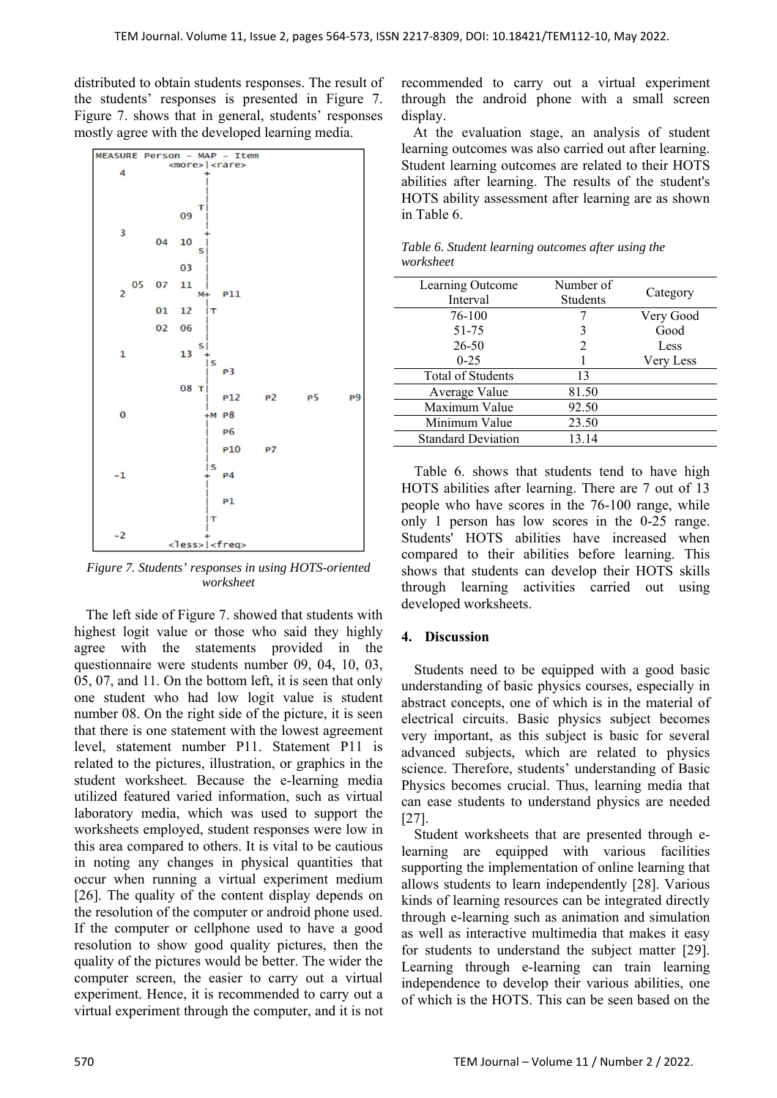distributed to obtain students responses. The result of the students' responses is presented in Figure 7. Figure 7. shows that in general, students' responses mostly agree with the developed learning media.



*Figure 7. Students' responses in using HOTS-oriented worksheet* 

The left side of Figure 7. showed that students with highest logit value or those who said they highly agree with the statements provided in the questionnaire were students number 09, 04, 10, 03, 05, 07, and 11. On the bottom left, it is seen that only one student who had low logit value is student number 08. On the right side of the picture, it is seen that there is one statement with the lowest agreement level, statement number P11. Statement P11 is related to the pictures, illustration, or graphics in the student worksheet. Because the e-learning media utilized featured varied information, such as virtual laboratory media, which was used to support the worksheets employed, student responses were low in this area compared to others. It is vital to be cautious in noting any changes in physical quantities that occur when running a virtual experiment medium [26]. The quality of the content display depends on the resolution of the computer or android phone used. If the computer or cellphone used to have a good resolution to show good quality pictures, then the quality of the pictures would be better. The wider the computer screen, the easier to carry out a virtual experiment. Hence, it is recommended to carry out a virtual experiment through the computer, and it is not recommended to carry out a virtual experiment through the android phone with a small screen display.

At the evaluation stage, an analysis of student learning outcomes was also carried out after learning. Student learning outcomes are related to their HOTS abilities after learning. The results of the student's HOTS ability assessment after learning are as shown in Table 6.

| Learning Outcome<br>Interval | Number of<br>Students | Category  |
|------------------------------|-----------------------|-----------|
| 76-100                       |                       | Very Good |
| 51-75                        | 3                     | Good      |
| 26-50                        | $\mathcal{L}$         | Less      |
| $0 - 25$                     |                       | Very Less |
| Total of Students            | 13                    |           |
| Average Value                | 81.50                 |           |
| Maximum Value                | 92.50                 |           |
| Minimum Value                | 23.50                 |           |
| <b>Standard Deviation</b>    | 13.14                 |           |
|                              |                       |           |

*Table 6. Student learning outcomes after using the worksheet* 

Table 6. shows that students tend to have high HOTS abilities after learning. There are 7 out of 13 people who have scores in the 76-100 range, while only 1 person has low scores in the 0-25 range. Students' HOTS abilities have increased when compared to their abilities before learning. This shows that students can develop their HOTS skills through learning activities carried out using developed worksheets.

## **4. Discussion**

Students need to be equipped with a good basic understanding of basic physics courses, especially in abstract concepts, one of which is in the material of electrical circuits. Basic physics subject becomes very important, as this subject is basic for several advanced subjects, which are related to physics science. Therefore, students' understanding of Basic Physics becomes crucial. Thus, learning media that can ease students to understand physics are needed [27].

Student worksheets that are presented through elearning are equipped with various facilities supporting the implementation of online learning that allows students to learn independently [28]. Various kinds of learning resources can be integrated directly through e-learning such as animation and simulation as well as interactive multimedia that makes it easy for students to understand the subject matter [29]. Learning through e-learning can train learning independence to develop their various abilities, one of which is the HOTS. This can be seen based on the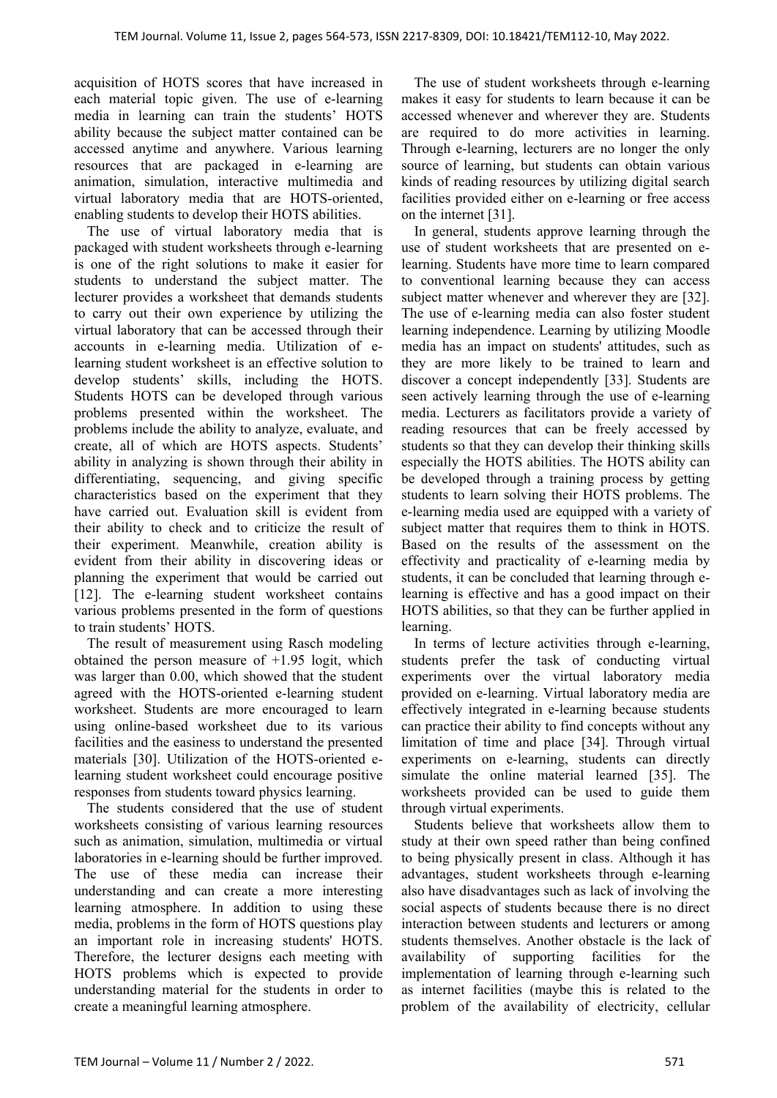acquisition of HOTS scores that have increased in each material topic given. The use of e-learning media in learning can train the students' HOTS ability because the subject matter contained can be accessed anytime and anywhere. Various learning resources that are packaged in e-learning are animation, simulation, interactive multimedia and virtual laboratory media that are HOTS-oriented, enabling students to develop their HOTS abilities.

The use of virtual laboratory media that is packaged with student worksheets through e-learning is one of the right solutions to make it easier for students to understand the subject matter. The lecturer provides a worksheet that demands students to carry out their own experience by utilizing the virtual laboratory that can be accessed through their accounts in e-learning media. Utilization of elearning student worksheet is an effective solution to develop students' skills, including the HOTS. Students HOTS can be developed through various problems presented within the worksheet. The problems include the ability to analyze, evaluate, and create, all of which are HOTS aspects. Students' ability in analyzing is shown through their ability in differentiating, sequencing, and giving specific characteristics based on the experiment that they have carried out. Evaluation skill is evident from their ability to check and to criticize the result of their experiment. Meanwhile, creation ability is evident from their ability in discovering ideas or planning the experiment that would be carried out [12]. The e-learning student worksheet contains various problems presented in the form of questions to train students' HOTS.

The result of measurement using Rasch modeling obtained the person measure of  $+1.95$  logit, which was larger than 0.00, which showed that the student agreed with the HOTS-oriented e-learning student worksheet. Students are more encouraged to learn using online-based worksheet due to its various facilities and the easiness to understand the presented materials [30]. Utilization of the HOTS-oriented elearning student worksheet could encourage positive responses from students toward physics learning.

The students considered that the use of student worksheets consisting of various learning resources such as animation, simulation, multimedia or virtual laboratories in e-learning should be further improved. The use of these media can increase their understanding and can create a more interesting learning atmosphere. In addition to using these media, problems in the form of HOTS questions play an important role in increasing students' HOTS. Therefore, the lecturer designs each meeting with HOTS problems which is expected to provide understanding material for the students in order to create a meaningful learning atmosphere.

The use of student worksheets through e-learning makes it easy for students to learn because it can be accessed whenever and wherever they are. Students are required to do more activities in learning. Through e-learning, lecturers are no longer the only source of learning, but students can obtain various kinds of reading resources by utilizing digital search facilities provided either on e-learning or free access on the internet [31].

In general, students approve learning through the use of student worksheets that are presented on elearning. Students have more time to learn compared to conventional learning because they can access subject matter whenever and wherever they are [32]. The use of e-learning media can also foster student learning independence. Learning by utilizing Moodle media has an impact on students' attitudes, such as they are more likely to be trained to learn and discover a concept independently [33]. Students are seen actively learning through the use of e-learning media. Lecturers as facilitators provide a variety of reading resources that can be freely accessed by students so that they can develop their thinking skills especially the HOTS abilities. The HOTS ability can be developed through a training process by getting students to learn solving their HOTS problems. The e-learning media used are equipped with a variety of subject matter that requires them to think in HOTS. Based on the results of the assessment on the effectivity and practicality of e-learning media by students, it can be concluded that learning through elearning is effective and has a good impact on their HOTS abilities, so that they can be further applied in learning.

In terms of lecture activities through e-learning, students prefer the task of conducting virtual experiments over the virtual laboratory media provided on e-learning. Virtual laboratory media are effectively integrated in e-learning because students can practice their ability to find concepts without any limitation of time and place [34]. Through virtual experiments on e-learning, students can directly simulate the online material learned [35]. The worksheets provided can be used to guide them through virtual experiments.

Students believe that worksheets allow them to study at their own speed rather than being confined to being physically present in class. Although it has advantages, student worksheets through e-learning also have disadvantages such as lack of involving the social aspects of students because there is no direct interaction between students and lecturers or among students themselves. Another obstacle is the lack of availability of supporting facilities for the implementation of learning through e-learning such as internet facilities (maybe this is related to the problem of the availability of electricity, cellular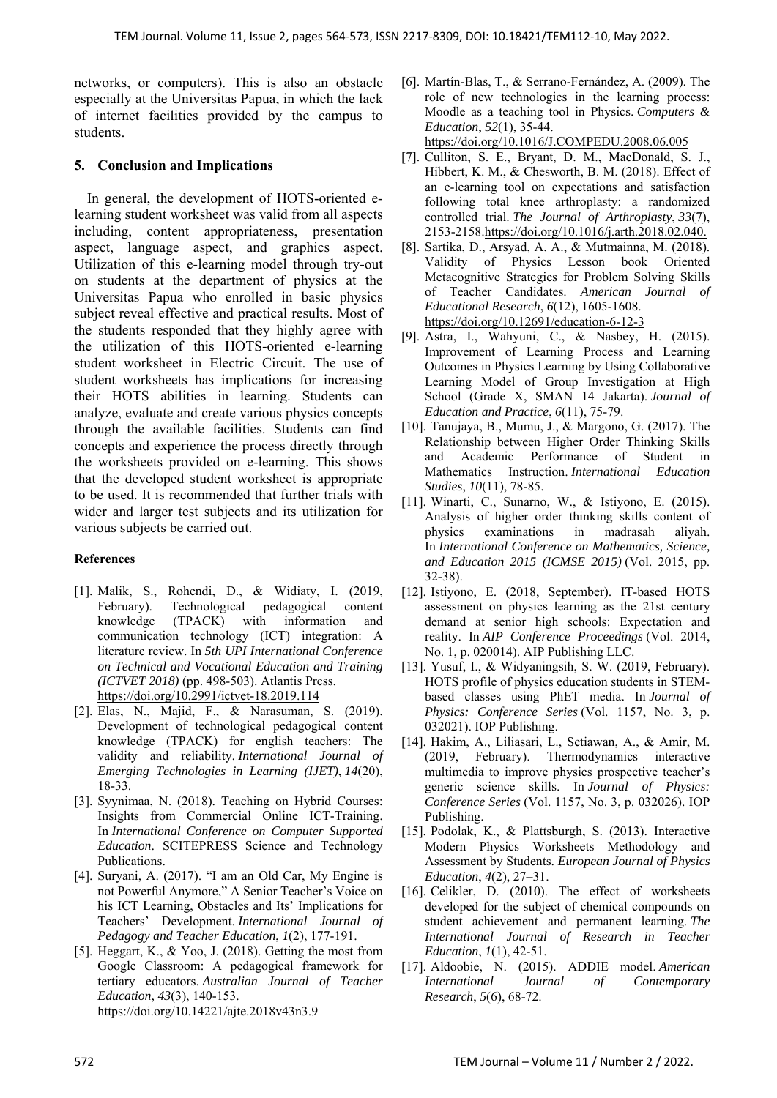networks, or computers). This is also an obstacle especially at the Universitas Papua, in which the lack of internet facilities provided by the campus to students.

## **5. Conclusion and Implications**

In general, the development of HOTS-oriented elearning student worksheet was valid from all aspects including, content appropriateness, presentation aspect, language aspect, and graphics aspect. Utilization of this e-learning model through try-out on students at the department of physics at the Universitas Papua who enrolled in basic physics subject reveal effective and practical results. Most of the students responded that they highly agree with the utilization of this HOTS-oriented e-learning student worksheet in Electric Circuit. The use of student worksheets has implications for increasing their HOTS abilities in learning. Students can analyze, evaluate and create various physics concepts through the available facilities. Students can find concepts and experience the process directly through the worksheets provided on e-learning. This shows that the developed student worksheet is appropriate to be used. It is recommended that further trials with wider and larger test subjects and its utilization for various subjects be carried out.

## **References**

- [1]. Malik, S., Rohendi, D., & Widiaty, I. (2019, February). Technological pedagogical content knowledge (TPACK) with information and communication technology (ICT) integration: A literature review. In *5th UPI International Conference on Technical and Vocational Education and Training (ICTVET 2018)* (pp. 498-503). Atlantis Press. https://doi.org/10.2991/ictvet-18.2019.114
- [2]. Elas, N., Majid, F., & Narasuman, S. (2019). Development of technological pedagogical content knowledge (TPACK) for english teachers: The validity and reliability. *International Journal of Emerging Technologies in Learning (IJET)*, *14*(20), 18-33.
- [3]. Syynimaa, N. (2018). Teaching on Hybrid Courses: Insights from Commercial Online ICT-Training. In *International Conference on Computer Supported Education*. SCITEPRESS Science and Technology Publications.
- [4]. Suryani, A. (2017). "I am an Old Car, My Engine is not Powerful Anymore," A Senior Teacher's Voice on his ICT Learning, Obstacles and Its' Implications for Teachers' Development. *International Journal of Pedagogy and Teacher Education*, *1*(2), 177-191.
- [5]. Heggart, K., & Yoo, J. (2018). Getting the most from Google Classroom: A pedagogical framework for tertiary educators. *Australian Journal of Teacher Education*, *43*(3), 140-153. https://doi.org/10.14221/ajte.2018v43n3.9
- [6]. Martín-Blas, T., & Serrano-Fernández, A. (2009). The role of new technologies in the learning process: Moodle as a teaching tool in Physics. *Computers & Education*, *52*(1), 35-44. https://doi.org/10.1016/J.COMPEDU.2008.06.005
- [7]. Culliton, S. E., Bryant, D. M., MacDonald, S. J., Hibbert, K. M., & Chesworth, B. M. (2018). Effect of an e-learning tool on expectations and satisfaction following total knee arthroplasty: a randomized controlled trial. *The Journal of Arthroplasty*, *33*(7), 2153-2158.https://doi.org/10.1016/j.arth.2018.02.040.
- [8]. Sartika, D., Arsyad, A. A., & Mutmainna, M. (2018). Validity of Physics Lesson book Oriented Metacognitive Strategies for Problem Solving Skills of Teacher Candidates. *American Journal of Educational Research*, *6*(12), 1605-1608. https://doi.org/10.12691/education-6-12-3
- [9]. Astra, I., Wahyuni, C., & Nasbey, H. (2015). Improvement of Learning Process and Learning Outcomes in Physics Learning by Using Collaborative Learning Model of Group Investigation at High School (Grade X, SMAN 14 Jakarta). *Journal of Education and Practice*, *6*(11), 75-79.
- [10]. Tanujaya, B., Mumu, J., & Margono, G. (2017). The Relationship between Higher Order Thinking Skills and Academic Performance of Student in Mathematics Instruction. *International Education Studies*, *10*(11), 78-85.
- [11]. Winarti, C., Sunarno, W., & Istiyono, E. (2015). Analysis of higher order thinking skills content of physics examinations in madrasah aliyah. In *International Conference on Mathematics, Science, and Education 2015 (ICMSE 2015)* (Vol. 2015, pp. 32-38).
- [12]. Istiyono, E. (2018, September). IT-based HOTS assessment on physics learning as the 21st century demand at senior high schools: Expectation and reality. In *AIP Conference Proceedings* (Vol. 2014, No. 1, p. 020014). AIP Publishing LLC.
- [13]. Yusuf, I., & Widyaningsih, S. W. (2019, February). HOTS profile of physics education students in STEMbased classes using PhET media. In *Journal of Physics: Conference Series* (Vol. 1157, No. 3, p. 032021). IOP Publishing.
- [14]. Hakim, A., Liliasari, L., Setiawan, A., & Amir, M. (2019, February). Thermodynamics interactive multimedia to improve physics prospective teacher's generic science skills. In *Journal of Physics: Conference Series* (Vol. 1157, No. 3, p. 032026). IOP Publishing.
- [15]. Podolak, K., & Plattsburgh, S. (2013). Interactive Modern Physics Worksheets Methodology and Assessment by Students. *European Journal of Physics Education*, *4*(2), 27–31.
- [16]. Celikler, D. (2010). The effect of worksheets developed for the subject of chemical compounds on student achievement and permanent learning. *The International Journal of Research in Teacher Education*, *1*(1), 42-51.
- [17]. Aldoobie, N. (2015). ADDIE model. *American International Journal of Contemporary Research*, *5*(6), 68-72.